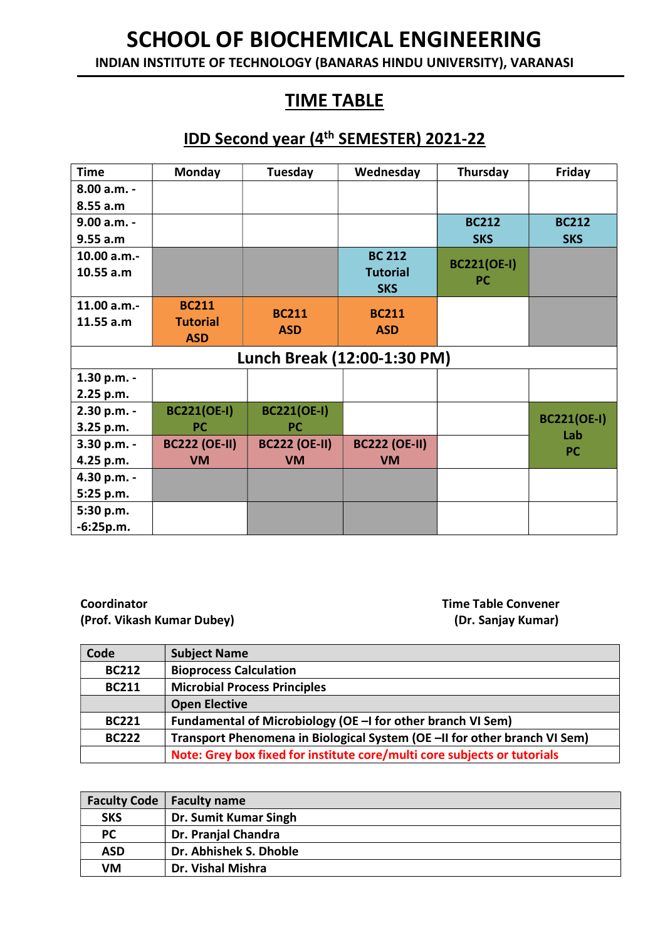INDIAN INSTITUTE OF TECHNOLOGY (BANARAS HINDU UNIVERSITY), VARANASI

### TIME TABLE

#### IDD Second year (4th SEMESTER) 2021-22

| <b>Time</b> | Monday               | Tuesday              | Wednesday                   | Thursday           | Friday                    |
|-------------|----------------------|----------------------|-----------------------------|--------------------|---------------------------|
| 8.00 a.m. - |                      |                      |                             |                    |                           |
| 8.55 a.m    |                      |                      |                             |                    |                           |
| 9.00 a.m. - |                      |                      |                             | <b>BC212</b>       | <b>BC212</b>              |
| 9.55 a.m    |                      |                      |                             | <b>SKS</b>         | <b>SKS</b>                |
| 10.00 a.m.- |                      |                      | <b>BC 212</b>               |                    |                           |
| 10.55 a.m   |                      |                      | <b>Tutorial</b>             | <b>BC221(OE-I)</b> |                           |
|             |                      |                      | <b>SKS</b>                  | <b>PC</b>          |                           |
| 11.00 a.m.  | <b>BC211</b>         |                      |                             |                    |                           |
| 11.55 a.m   | <b>Tutorial</b>      | <b>BC211</b>         | <b>BC211</b>                |                    |                           |
|             | <b>ASD</b>           | <b>ASD</b>           | <b>ASD</b>                  |                    |                           |
|             |                      |                      | Lunch Break (12:00-1:30 PM) |                    |                           |
| 1.30 p.m. - |                      |                      |                             |                    |                           |
| 2.25 p.m.   |                      |                      |                             |                    |                           |
| 2.30 p.m. - | <b>BC221(OE-I)</b>   | <b>BC221(OE-I)</b>   |                             |                    |                           |
| 3.25 p.m.   | <b>PC</b>            | <b>PC</b>            |                             |                    | <b>BC221(OE-I)</b><br>Lab |
| 3.30 p.m. - | <b>BC222 (OE-II)</b> | <b>BC222 (OE-II)</b> | <b>BC222 (OE-II)</b>        |                    |                           |
| 4.25 p.m.   | <b>VM</b>            | <b>VM</b>            | <b>VM</b>                   |                    | <b>PC</b>                 |
| 4.30 p.m. - |                      |                      |                             |                    |                           |
| 5:25 p.m.   |                      |                      |                             |                    |                           |
| 5:30 p.m.   |                      |                      |                             |                    |                           |
| $-6:25p.m.$ |                      |                      |                             |                    |                           |

**Coordinator** Coordinator **Time Table Convener** (Prof. Vikash Kumar Dubey) (Dr. Sanjay Kumar)

| Code         | <b>Subject Name</b>                                                       |
|--------------|---------------------------------------------------------------------------|
| <b>BC212</b> | <b>Bioprocess Calculation</b>                                             |
| <b>BC211</b> | <b>Microbial Process Principles</b>                                       |
|              | <b>Open Elective</b>                                                      |
| <b>BC221</b> | Fundamental of Microbiology (OE -I for other branch VI Sem)               |
| <b>BC222</b> | Transport Phenomena in Biological System (OE -II for other branch VI Sem) |
|              | Note: Grey box fixed for institute core/multi core subjects or tutorials  |

|            | <b>Faculty Code</b>   Faculty name |
|------------|------------------------------------|
| <b>SKS</b> | Dr. Sumit Kumar Singh              |
| PC         | Dr. Pranjal Chandra                |
| ASD        | Dr. Abhishek S. Dhoble             |
| VM         | Dr. Vishal Mishra                  |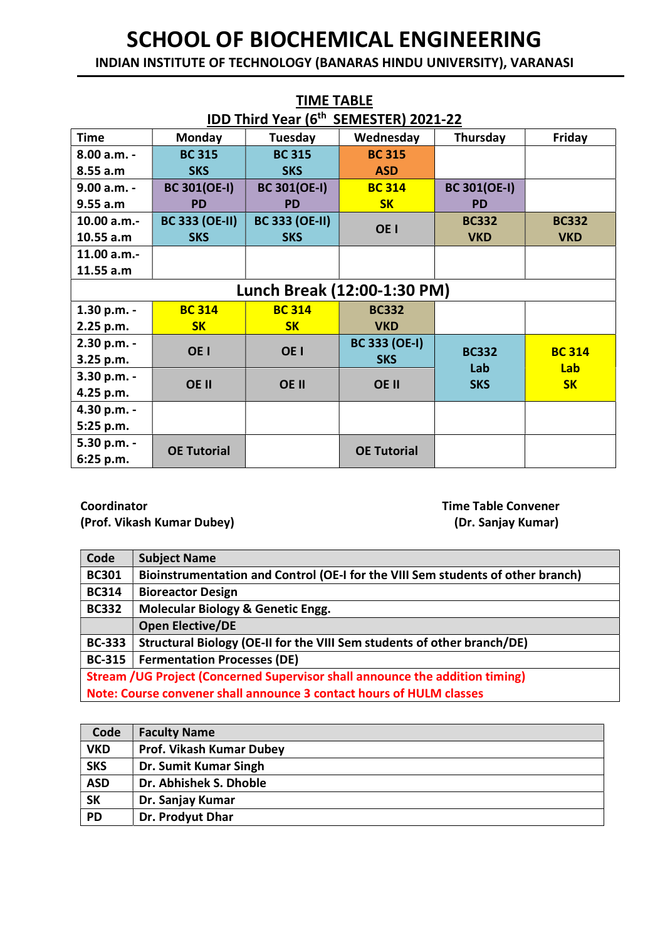INDIAN INSTITUTE OF TECHNOLOGY (BANARAS HINDU UNIVERSITY), VARANASI

| <b>TIME TABLE</b>        |                                       |                       |                      |                     |               |  |
|--------------------------|---------------------------------------|-----------------------|----------------------|---------------------|---------------|--|
|                          | IDD Third Year (6th SEMESTER) 2021-22 |                       |                      |                     |               |  |
| Time                     | Monday                                | Tuesday               | Wednesday            | Thursday            | Friday        |  |
| $8.00 a.m. -$            | <b>BC 315</b>                         | <b>BC 315</b>         | <b>BC 315</b>        |                     |               |  |
| 8.55 a.m                 | <b>SKS</b>                            | <b>SKS</b>            | <b>ASD</b>           |                     |               |  |
| $9.00 a.m. -$            | <b>BC 301(OE-I)</b>                   | <b>BC 301(OE-I)</b>   | <b>BC 314</b>        | <b>BC 301(OE-I)</b> |               |  |
| 9.55 a.m                 | <b>PD</b>                             | <b>PD</b>             | <b>SK</b>            | <b>PD</b>           |               |  |
| 10.00 a.m.-              | <b>BC 333 (OE-II)</b>                 | <b>BC 333 (OE-II)</b> | OE <sub>1</sub>      | <b>BC332</b>        | <b>BC332</b>  |  |
| 10.55 a.m                | <b>SKS</b>                            | <b>SKS</b>            |                      | <b>VKD</b>          | <b>VKD</b>    |  |
| 11.00 a.m.-              |                                       |                       |                      |                     |               |  |
| 11.55 a.m                |                                       |                       |                      |                     |               |  |
|                          | Lunch Break (12:00-1:30 PM)           |                       |                      |                     |               |  |
| 1.30 p.m. -              | <b>BC 314</b>                         | <b>BC 314</b>         | <b>BC332</b>         |                     |               |  |
| 2.25 p.m.                | <b>SK</b>                             | <b>SK</b>             | <b>VKD</b>           |                     |               |  |
| 2.30 p.m. -              | OE <sub>1</sub>                       | OE <sub>I</sub>       | <b>BC 333 (OE-I)</b> | <b>BC332</b>        | <b>BC 314</b> |  |
| 3.25 p.m.                |                                       |                       | <b>SKS</b>           | Lab                 | Lab           |  |
| 3.30 p.m. -              | <b>OE II</b>                          | OE II                 | <b>OE II</b>         | <b>SKS</b>          | <b>SK</b>     |  |
| 4.25 p.m.                |                                       |                       |                      |                     |               |  |
| 4.30 p.m. -              |                                       |                       |                      |                     |               |  |
| 5:25 p.m.                |                                       |                       |                      |                     |               |  |
| 5.30 p.m. -<br>6:25 p.m. | <b>OE Tutorial</b>                    |                       | <b>OE Tutorial</b>   |                     |               |  |

Coordinator Time Table Convener (Prof. Vikash Kumar Dubey) (Dr. Sanjay Kumar)

| Code                                                                          | <b>Subject Name</b>                                                             |  |
|-------------------------------------------------------------------------------|---------------------------------------------------------------------------------|--|
| <b>BC301</b>                                                                  | Bioinstrumentation and Control (OE-I for the VIII Sem students of other branch) |  |
| <b>BC314</b>                                                                  | <b>Bioreactor Design</b>                                                        |  |
| <b>BC332</b>                                                                  | <b>Molecular Biology &amp; Genetic Engg.</b>                                    |  |
|                                                                               | <b>Open Elective/DE</b>                                                         |  |
| <b>BC-333</b>                                                                 | Structural Biology (OE-II for the VIII Sem students of other branch/DE)         |  |
| <b>BC-315</b>                                                                 | <b>Fermentation Processes (DE)</b>                                              |  |
| Stream / UG Project (Concerned Supervisor shall announce the addition timing) |                                                                                 |  |
| Note: Course convener shall announce 3 contact hours of HULM classes          |                                                                                 |  |
|                                                                               |                                                                                 |  |

| Code       | <b>Faculty Name</b>             |
|------------|---------------------------------|
| <b>VKD</b> | <b>Prof. Vikash Kumar Dubey</b> |
| <b>SKS</b> | Dr. Sumit Kumar Singh           |
| <b>ASD</b> | Dr. Abhishek S. Dhoble          |
| <b>SK</b>  | Dr. Sanjay Kumar                |
| <b>PD</b>  | Dr. Prodyut Dhar                |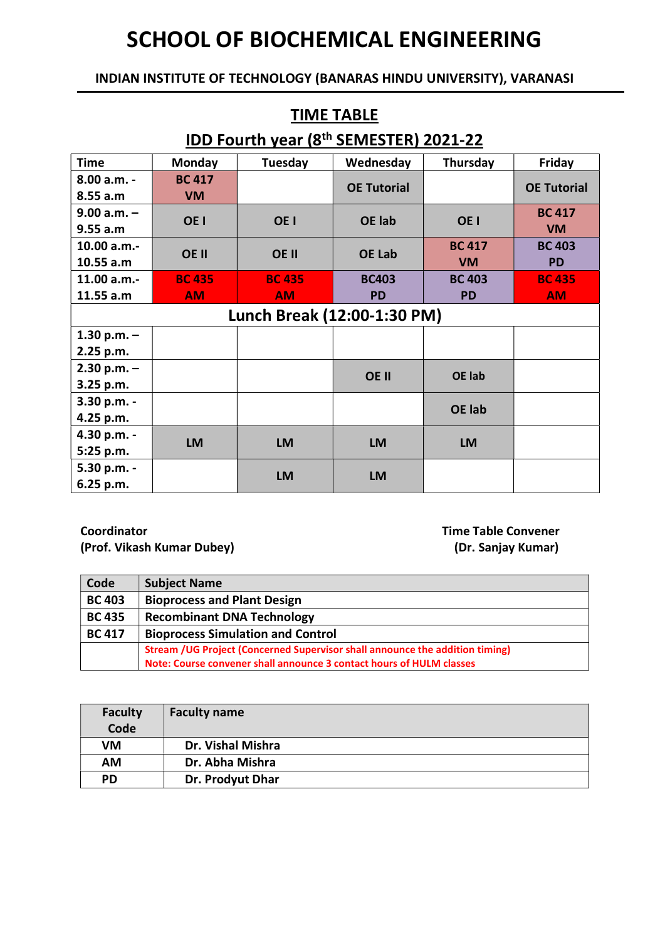#### INDIAN INSTITUTE OF TECHNOLOGY (BANARAS HINDU UNIVERSITY), VARANASI

TIME TABLE

| IDD Fourth year (8th SEMESTER) 2021-22 |                 |                 |                    |                 |                    |
|----------------------------------------|-----------------|-----------------|--------------------|-----------------|--------------------|
| <b>Time</b>                            | <b>Monday</b>   | Tuesday         | Wednesday          | Thursday        | Friday             |
| 8.00 a.m. -                            | <b>BC 417</b>   |                 | <b>OE Tutorial</b> |                 | <b>OE Tutorial</b> |
| 8.55 a.m                               | <b>VM</b>       |                 |                    |                 |                    |
| $9.00 a.m. -$                          | OE <sub>I</sub> | OE <sub>I</sub> | <b>OE</b> lab      | OE <sub>I</sub> | <b>BC 417</b>      |
| 9.55 a.m                               |                 |                 |                    |                 | <b>VM</b>          |
| 10.00 a.m.-                            | OE II           | OE II           | <b>OE Lab</b>      | <b>BC 417</b>   | <b>BC 403</b>      |
| 10.55 a.m                              |                 |                 |                    | <b>VM</b>       | <b>PD</b>          |
| 11.00 a.m.-                            | <b>BC 435</b>   | <b>BC 435</b>   | <b>BC403</b>       | <b>BC 403</b>   | <b>BC 435</b>      |
| 11.55 a.m                              | <b>AM</b>       | <b>AM</b>       | <b>PD</b>          | <b>PD</b>       | <b>AM</b>          |
| Lunch Break (12:00-1:30 PM)            |                 |                 |                    |                 |                    |
| 1.30 p.m. $-$                          |                 |                 |                    |                 |                    |
| 2.25 p.m.                              |                 |                 |                    |                 |                    |
| $2.30 p.m. -$                          |                 |                 | <b>OE II</b>       | <b>OE lab</b>   |                    |
| 3.25 p.m.                              |                 |                 |                    |                 |                    |
| 3.30 p.m. -                            |                 |                 |                    | <b>OE</b> lab   |                    |
| 4.25 p.m.                              |                 |                 |                    |                 |                    |
| 4.30 p.m. -                            | <b>LM</b>       | <b>LM</b>       | <b>LM</b>          | <b>LM</b>       |                    |
| 5:25 p.m.                              |                 |                 |                    |                 |                    |
| 5.30 p.m. -                            |                 | <b>LM</b>       | <b>LM</b>          |                 |                    |
| 6.25 p.m.                              |                 |                 |                    |                 |                    |

Coordinator Time Table Convener (Prof. Vikash Kumar Dubey) (Dr. Sanjay Kumar)

| Code          | <b>Subject Name</b>                                                          |
|---------------|------------------------------------------------------------------------------|
| <b>BC 403</b> | <b>Bioprocess and Plant Design</b>                                           |
| <b>BC 435</b> | <b>Recombinant DNA Technology</b>                                            |
| <b>BC 417</b> | <b>Bioprocess Simulation and Control</b>                                     |
|               | Stream /UG Project (Concerned Supervisor shall announce the addition timing) |
|               | Note: Course convener shall announce 3 contact hours of HULM classes         |

| <b>Faculty</b><br>Code | <b>Faculty name</b> |
|------------------------|---------------------|
| VM                     | Dr. Vishal Mishra   |
| <b>AM</b>              | Dr. Abha Mishra     |
| <b>PD</b>              | Dr. Prodyut Dhar    |